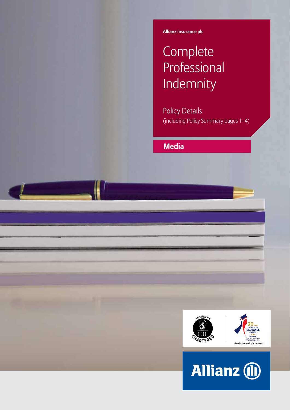**Allianz Insurance plc**

# **Complete Professional** Indemnity

Policy Details (including Policy Summary pages 1–4)

**Media**



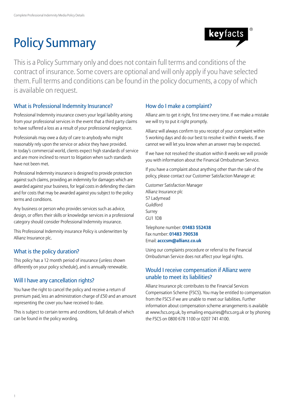# Policy Summary



This is a Policy Summary only and does not contain full terms and conditions of the contract of insurance. Some covers are optional and will only apply if you have selected them. Full terms and conditions can be found in the policy documents, a copy of which is available on request.

## What is Professional Indemnity Insurance?

Professional Indemnity insurance covers your legal liability arising from your professional services in the event that a third party claims to have suffered a loss as a result of your professional negligence.

Professionals may owe a duty of care to anybody who might reasonably rely upon the service or advice they have provided. In today's commercial world, clients expect high standards of service and are more inclined to resort to litigation when such standards have not been met.

Professional Indemnity insurance is designed to provide protection against such claims, providing an indemnity for damages which are awarded against your business, for legal costs in defending the claim and for costs that may be awarded against you subject to the policy terms and conditions.

Any business or person who provides services such as advice, design, or offers their skills or knowledge services in a professional category should consider Professional Indemnity insurance.

This Professional Indemnity insurance Policy is underwritten by Allianz Insurance plc.

## What is the policy duration?

This policy has a 12 month period of insurance (unless shown differently on your policy schedule), and is annually renewable.

## Will I have any cancellation rights?

You have the right to cancel the policy and receive a return of premium paid, less an administration charge of £50 and an amount representing the cover you have received to date.

This is subject to certain terms and conditions, full details of which can be found in the policy wording.

## How do I make a complaint?

Allianz aim to get it right, first time every time. If we make a mistake we will try to put it right promptly.

Allianz will always confirm to you receipt of your complaint within 5 working days and do our best to resolve it within 4 weeks. If we cannot we will let you know when an answer may be expected.

If we have not resolved the situation within 8 weeks we will provide you with information about the Financial Ombudsman Service.

If you have a complaint about anything other than the sale of the policy, please contact our Customer Satisfaction Manager at:

Customer Satisfaction Manager Allianz Insurance plc 57 Ladymead Guildford Surrey GU1 1DB

Telephone number: **01483 552438** Fax number: **01483 790538** Email: **acccsm@allianz.co.uk**

Using our complaints procedure or referral to the Financial Ombudsman Service does not affect your legal rights.

## Would I receive compensation if Allianz were unable to meet its liabilities?

Allianz Insurance plc contributes to the Financial Services Compensation Scheme (FSCS). You may be entitled to compensation from the FSCS if we are unable to meet our liabilities. Further information about compensation scheme arrangements is available at www.fscs.org.uk, by emailing enquiries@fscs.org.uk or by phoning the FSCS on 0800 678 1100 or 0207 741 4100.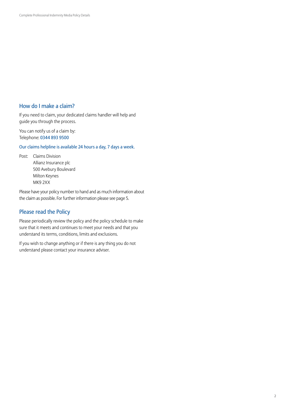## How do I make a claim?

If you need to claim, your dedicated claims handler will help and guide you through the process.

You can notify us of a claim by: Telephone: 0344 893 9500

Our claims helpline is available 24 hours a day, 7 days a week.

Post: Claims Division Allianz Insurance plc 500 Avebury Boulevard Milton Keynes MK9 2XX

Please have your policy number to hand and as much information about the claim as possible. For further information please see page 5.

## Please read the Policy

Please periodically review the policy and the policy schedule to make sure that it meets and continues to meet your needs and that you understand its terms, conditions, limits and exclusions.

If you wish to change anything or if there is any thing you do not understand please contact your insurance adviser.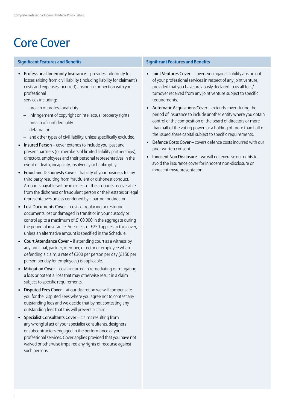## Core Cover

### **Significant Features and Benefits Significant Features and Benefits**

• Professional Indemnity Insurance – provides indemnity for losses arising from civil liability (including liability for claimant's costs and expenses incurred) arising in connection with your professional

services including:-

- breach of professional duty
- infringement of copyright or intellectual property rights
- breach of confidentiality
- defamation
- and other types of civil liability, unless specifically excluded.
- Insured Person cover extends to include you, past and present partners (or members of limited liability partnerships), directors, employees and their personal representatives in the event of death, incapacity, insolvency or bankruptcy.
- Fraud and Dishonesty Cover liability of your business to any third party resulting from fraudulent or dishonest conduct. Amounts payable will be in excess of the amounts recoverable from the dishonest or fraudulent person or their estates or legal representatives unless condoned by a partner or director.
- Lost Documents Cover costs of replacing or restoring documents lost or damaged in transit or in your custody or control up to a maximum of £100,000 in the aggregate during the period of insurance. An Excess of £250 applies to this cover, unless an alternative amount is specified in the Schedule.
- Court Attendance Cover if attending court as a witness by any principal, partner, member, director or employee when defending a claim, a rate of £300 per person per day (£150 per person per day for employees) is applicable.
- Mitigation Cover costs incurred in remediating or mitigating a loss or potential loss that may otherwise result in a claim subject to specific requirements.
- Disputed Fees Cover at our discretion we will compensate you for the Disputed Fees where you agree not to contest any outstanding fees and we decide that by not contesting any outstanding fees that this will prevent a claim.
- Specialist Consultants Cover claims resulting from any wrongful act of your specialist consultants, designers or subcontractors engaged in the performance of your professional services. Cover applies provided that you have not waived or otherwise impaired any rights of recourse against such persons.

- Joint Ventures Cover covers you against liability arising out of your professional services in respect of any joint venture, provided that you have previously declared to us all fees/ turnover received from any joint venture subject to specific requirements.
- Automatic Acquisitions Cover extends cover during the period of insurance to include another entity where you obtain control of the composition of the board of directors or more than half of the voting power; or a holding of more than half of the issued share capital subject to specific requirements.
- Defence Costs Cover covers defence costs incurred with our prior written consent.
- Innocent Non Disclosure we will not exercise our rights to avoid the insurance cover for innocent non-disclosure or innocent misrepresentation.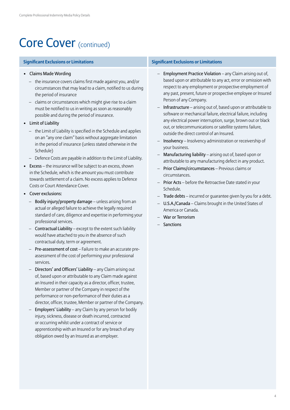## Core Cover (continued)

- Claims Made Wording
	- the insurance covers claims first made against you, and/or circumstances that may lead to a claim, notified to us during the period of insurance
	- claims or circumstances which might give rise to a claim must be notified to us in writing as soon as reasonably possible and during the period of insurance.
- Limit of Liability
	- the Limit of Liability is specified in the Schedule and applies on an "any one claim" basis without aggregate limitation in the period of insurance (unless stated otherwise in the Schedule)
	- Defence Costs are payable in addition to the Limit of Liability.
- Excess the insurance will be subject to an excess, shown in the Schedule, which is the amount you must contribute towards settlement of a claim. No excess applies to Defence Costs or Court Attendance Cover.
- Cover exclusions:
	- Bodily injury/property damage unless arising from an actual or alleged failure to achieve the legally required standard of care, diligence and expertise in performing your professional services.
	- Contractual Liability except to the extent such liability would have attached to you in the absence of such contractual duty, term or agreement.
	- Pre-assessment of cost Failure to make an accurate preassessment of the cost of performing your professional services.
	- Directors' and Officers' Liability any Claim arising out of, based upon or attributable to any Claim made against an Insured in their capacity as a director, officer, trustee, Member or partner of the Company in respect of the performance or non-performance of their duties as a director, officer, trustee, Member or partner of the Company.
	- Employers' Liability any Claim by any person for bodily injury, sickness, disease or death incurred, contracted or occurring whilst under a contract of service or apprenticeship with an Insured or for any breach of any obligation owed by an Insured as an employer.

#### **Significant Exclusions or Limitations Significant Exclusions or Limitations**

- Employment Practice Violation any Claim arising out of, based upon or attributable to any act, error or omission with respect to any employment or prospective employment of any past, present, future or prospective employee or Insured Person of any Company.
- Infrastructure arising out of, based upon or attributable to software or mechanical failure, electrical failure, including any electrical power interruption, surge, brown out or black out, or telecommunications or satellite systems failure, outside the direct control of an Insured.
- Insolvency Insolvency administration or receivership of your business.
- Manufacturing liability arising out of, based upon or attributable to any manufacturing defect in any product.
- Prior Claims/circumstances Previous claims or circumstances.
- Prior Acts before the Retroactive Date stated in your Schedule.
- Trade debts incurred or guarantee given by you for a debt.
- U.S.A./Canada Claims brought in the United States of America or Canada.
- War or Terrorism
- Sanctions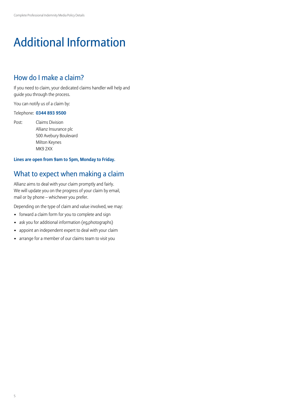## Additional Information

## How do I make a claim?

If you need to claim, your dedicated claims handler will help and guide you through the process.

You can notify us of a claim by:

#### Telephone: **0344 893 9500**

Post: Claims Division Allianz Insurance plc 500 Avebury Boulevard Milton Keynes MK9 2XX

### **Lines are open from 9am to 5pm, Monday to Friday.**

## What to expect when making a claim

Allianz aims to deal with your claim promptly and fairly. We will update you on the progress of your claim by email, mail or by phone – whichever you prefer.

Depending on the type of claim and value involved, we may:

- forward a claim form for you to complete and sign
- ask you for additional information (eg,photographs)
- appoint an independent expert to deal with your claim
- arrange for a member of our claims team to visit you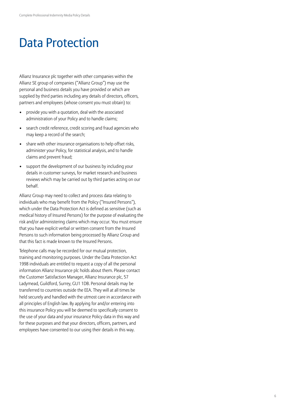## Data Protection

Allianz Insurance plc together with other companies within the Allianz SE group of companies ("Allianz Group") may use the personal and business details you have provided or which are supplied by third parties including any details of directors, officers, partners and employees (whose consent you must obtain) to:

- provide you with a quotation, deal with the associated administration of your Policy and to handle claims;
- search credit reference, credit scoring and fraud agencies who may keep a record of the search;
- share with other insurance organisations to help offset risks, administer your Policy, for statistical analysis, and to handle claims and prevent fraud;
- support the development of our business by including your details in customer surveys, for market research and business reviews which may be carried out by third parties acting on our behalf.

Allianz Group may need to collect and process data relating to individuals who may benefit from the Policy ("Insured Persons"), which under the Data Protection Act is defined as sensitive (such as medical history of Insured Persons) for the purpose of evaluating the risk and/or administering claims which may occur. You must ensure that you have explicit verbal or written consent from the Insured Persons to such information being processed by Allianz Group and that this fact is made known to the Insured Persons.

Telephone calls may be recorded for our mutual protection, training and monitoring purposes. Under the Data Protection Act 1998 individuals are entitled to request a copy of all the personal information Allianz Insurance plc holds about them. Please contact the Customer Satisfaction Manager, Allianz Insurance plc, 57 Ladymead, Guildford, Surrey, GU1 1DB. Personal details may be transferred to countries outside the EEA. They will at all times be held securely and handled with the utmost care in accordance with all principles of English law. By applying for and/or entering into this insurance Policy you will be deemed to specifically consent to the use of your data and your insurance Policy data in this way and for these purposes and that your directors, officers, partners, and employees have consented to our using their details in this way.